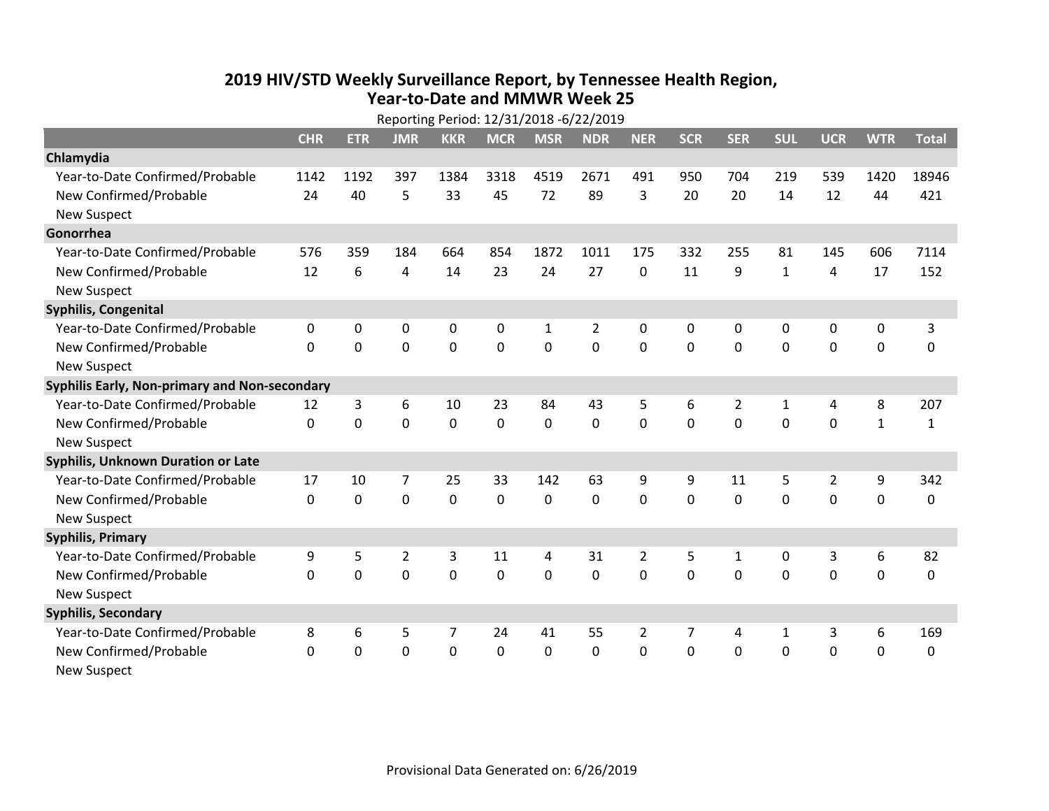## **2019 HIV /STD Weekly Surveillance Report, by Tennessee Health Region, Year‐to‐Date and MMWR Week 25** Reporting Period: 12/31/2018 ‐6/22/2019

| Reporting Period: 12/31/2018 -6/22/2019       |              |             |                |            |             |             |                |                |              |                |              |                |              |              |
|-----------------------------------------------|--------------|-------------|----------------|------------|-------------|-------------|----------------|----------------|--------------|----------------|--------------|----------------|--------------|--------------|
|                                               | <b>CHR</b>   | <b>ETR</b>  | <b>JMR</b>     | <b>KKR</b> | <b>MCR</b>  | <b>MSR</b>  | <b>NDR</b>     | <b>NER</b>     | <b>SCR</b>   | <b>SER</b>     | <b>SUL</b>   | <b>UCR</b>     | <b>WTR</b>   | <b>Total</b> |
| Chlamydia                                     |              |             |                |            |             |             |                |                |              |                |              |                |              |              |
| Year-to-Date Confirmed/Probable               | 1142         | 1192        | 397            | 1384       | 3318        | 4519        | 2671           | 491            | 950          | 704            | 219          | 539            | 1420         | 18946        |
| New Confirmed/Probable                        | 24           | 40          | 5              | 33         | 45          | 72          | 89             | 3              | 20           | 20             | 14           | 12             | 44           | 421          |
| <b>New Suspect</b>                            |              |             |                |            |             |             |                |                |              |                |              |                |              |              |
| Gonorrhea                                     |              |             |                |            |             |             |                |                |              |                |              |                |              |              |
| Year-to-Date Confirmed/Probable               | 576          | 359         | 184            | 664        | 854         | 1872        | 1011           | 175            | 332          | 255            | 81           | 145            | 606          | 7114         |
| New Confirmed/Probable                        | 12           | 6           | 4              | 14         | 23          | 24          | 27             | 0              | 11           | 9              | $\mathbf{1}$ | 4              | 17           | 152          |
| <b>New Suspect</b>                            |              |             |                |            |             |             |                |                |              |                |              |                |              |              |
| <b>Syphilis, Congenital</b>                   |              |             |                |            |             |             |                |                |              |                |              |                |              |              |
| Year-to-Date Confirmed/Probable               | 0            | 0           | $\mathbf 0$    | 0          | $\mathbf 0$ | 1           | $\overline{2}$ | 0              | 0            | 0              | 0            | 0              | 0            | 3            |
| New Confirmed/Probable                        | $\mathbf{0}$ | $\mathbf 0$ | 0              | 0          | $\mathbf 0$ | $\mathbf 0$ | 0              | $\mathbf 0$    | $\mathbf{0}$ | 0              | 0            | 0              | $\mathbf 0$  | 0            |
| <b>New Suspect</b>                            |              |             |                |            |             |             |                |                |              |                |              |                |              |              |
| Syphilis Early, Non-primary and Non-secondary |              |             |                |            |             |             |                |                |              |                |              |                |              |              |
| Year-to-Date Confirmed/Probable               | 12           | 3           | 6              | 10         | 23          | 84          | 43             | 5              | 6            | $\overline{2}$ | 1            | 4              | 8            | 207          |
| New Confirmed/Probable                        | $\Omega$     | 0           | $\Omega$       | 0          | $\mathbf 0$ | 0           | $\Omega$       | $\Omega$       | $\Omega$     | $\Omega$       | $\Omega$     | $\Omega$       | $\mathbf{1}$ | $\mathbf{1}$ |
| <b>New Suspect</b>                            |              |             |                |            |             |             |                |                |              |                |              |                |              |              |
| Syphilis, Unknown Duration or Late            |              |             |                |            |             |             |                |                |              |                |              |                |              |              |
| Year-to-Date Confirmed/Probable               | 17           | 10          | 7              | 25         | 33          | 142         | 63             | 9              | 9            | 11             | 5            | $\overline{2}$ | 9            | 342          |
| New Confirmed/Probable                        | $\Omega$     | $\mathbf 0$ | 0              | 0          | $\mathbf 0$ | 0           | $\Omega$       | $\Omega$       | $\Omega$     | $\Omega$       | $\Omega$     | 0              | $\mathbf 0$  | 0            |
| <b>New Suspect</b>                            |              |             |                |            |             |             |                |                |              |                |              |                |              |              |
| <b>Syphilis, Primary</b>                      |              |             |                |            |             |             |                |                |              |                |              |                |              |              |
| Year-to-Date Confirmed/Probable               | 9            | 5           | $\overline{2}$ | 3          | 11          | 4           | 31             | $\overline{2}$ | 5            | $\mathbf{1}$   | 0            | 3              | 6            | 82           |
| New Confirmed/Probable                        | $\Omega$     | 0           | 0              | 0          | $\mathbf 0$ | 0           | 0              | $\Omega$       | $\Omega$     | $\Omega$       | $\Omega$     | $\Omega$       | $\mathbf 0$  | 0            |
| <b>New Suspect</b>                            |              |             |                |            |             |             |                |                |              |                |              |                |              |              |
| <b>Syphilis, Secondary</b>                    |              |             |                |            |             |             |                |                |              |                |              |                |              |              |
| Year-to-Date Confirmed/Probable               | 8            | 6           | 5              | 7          | 24          | 41          | 55             | 2              | 7            | 4              | 1            | 3              | 6            | 169          |
| New Confirmed/Probable                        | 0            | 0           | 0              | 0          | $\mathbf 0$ | 0           | 0              | $\Omega$       | $\Omega$     | 0              | 0            | 0              | $\mathbf 0$  | 0            |
| <b>New Suspect</b>                            |              |             |                |            |             |             |                |                |              |                |              |                |              |              |